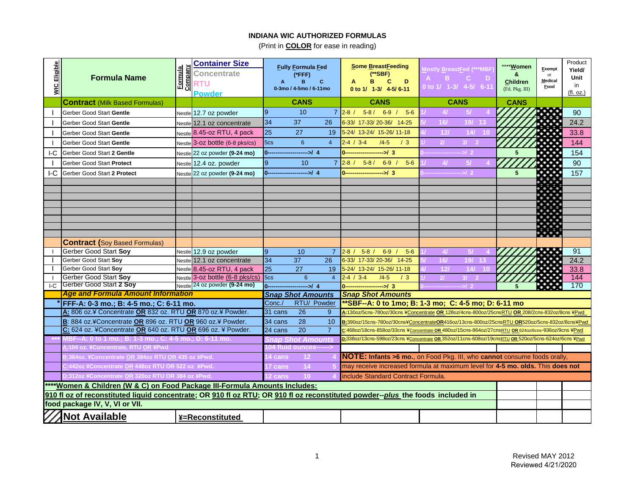| WIC Eligible | <b>Formula Name</b>                                                                                                            | Company<br>Formula | <b>Container Size</b><br><b>Concentrate</b><br><b>RTU</b><br><b>Powder</b> |                                                                                                                                      | <b>Fully Formula Fed</b><br>(*FFF)<br>B.<br>C<br>0-3mo / 4-5mo / 6-11mo |                                                                                                                                                                                                                       | Some BreastFeeding<br>(**SBF)<br>D<br>B.<br><b>C</b><br>0 to 1/ 1-3/ 4-5/6-11  | Mostly <u>B</u> reast <u>F</u> ed (***MBF<br>$B =$<br>းေ<br>- D<br>0 to 1/ 1-3/ 4-5/ 6-11          | **** <b>Women</b><br>&<br><b>Children</b><br>(Fd. Pkg. III) | Exempt<br>or<br><b>Medical</b><br>Food | Product<br>Yield/<br>Unit<br>in<br>(fl. oz.) |
|--------------|--------------------------------------------------------------------------------------------------------------------------------|--------------------|----------------------------------------------------------------------------|--------------------------------------------------------------------------------------------------------------------------------------|-------------------------------------------------------------------------|-----------------------------------------------------------------------------------------------------------------------------------------------------------------------------------------------------------------------|--------------------------------------------------------------------------------|----------------------------------------------------------------------------------------------------|-------------------------------------------------------------|----------------------------------------|----------------------------------------------|
|              | <b>Contract</b> (Milk Based Formulas)                                                                                          |                    |                                                                            |                                                                                                                                      | <b>CANS</b>                                                             |                                                                                                                                                                                                                       | <b>CANS</b>                                                                    | <b>CANS</b>                                                                                        | <b>CANS</b>                                                 |                                        |                                              |
|              | Gerber Good Start Gentle                                                                                                       |                    | Nestle 12.7 oz powder                                                      | <b>9</b>                                                                                                                             | 10                                                                      | $7^{\circ}$                                                                                                                                                                                                           | $5-8/$<br>$2 - 8 /$<br>$6-9$<br>$5-6$                                          | 4I<br>5/                                                                                           |                                                             |                                        | 90                                           |
|              | Gerber Good Start Gentle                                                                                                       |                    | Nestle 12.1 oz concentrate                                                 | 34                                                                                                                                   | 37                                                                      | 26                                                                                                                                                                                                                    | 6-33/ 17-33/ 20-36/ 14-25                                                      | 16/<br>19/ 13                                                                                      |                                                             |                                        | 24.2                                         |
|              | Gerber Good Start Gentle                                                                                                       | Nestle             | 8.45-oz RTU, 4 pack                                                        | 25                                                                                                                                   | 27                                                                      | 19                                                                                                                                                                                                                    | 5-24/ 13-24/ 15-26/ 11-18                                                      | 12 <sub>l</sub><br>14/10                                                                           |                                                             |                                        | 33.8                                         |
|              | Gerber Good Start Gentle                                                                                                       |                    | Nestle 3-0Z bottle (6-8 pks/cs)                                            | 5cs                                                                                                                                  | 6                                                                       | $\overline{4}$                                                                                                                                                                                                        | $2 - 4 / 3 - 4$<br>$/4 - 5$<br>/3                                              | 21<br>3/2                                                                                          |                                                             |                                        | 144                                          |
| IC           | Gerber Good Start 2 Gentle                                                                                                     |                    | Nestle 22 oz powder (9-24 mo)                                              | $0 -$                                                                                                                                | $\rightarrow$ 4                                                         |                                                                                                                                                                                                                       | $\rightarrow$ 3<br>$0 -$                                                       | $\rightarrow$ 2                                                                                    | 5                                                           |                                        | 154                                          |
|              | Gerber Good Start Protect                                                                                                      |                    | Nestle 12.4 oz. powder                                                     | 9                                                                                                                                    | 10 <sup>°</sup>                                                         | $\overline{7}$                                                                                                                                                                                                        | $6 - 9$ /<br>$5-6$<br>$2 - 8 /$<br>$5-8/$                                      | 5/<br>41                                                                                           |                                                             |                                        | 90                                           |
| I-C          | Gerber Good Start 2 Protect                                                                                                    |                    | Nestle 22 oz powder (9-24 mo)                                              | $0 -$                                                                                                                                | $\rightarrow$ 4                                                         |                                                                                                                                                                                                                       | $\sim$ 3<br>$0 -$                                                              | $-12$                                                                                              | 5                                                           |                                        | 157                                          |
|              |                                                                                                                                |                    |                                                                            |                                                                                                                                      |                                                                         |                                                                                                                                                                                                                       |                                                                                |                                                                                                    |                                                             |                                        |                                              |
|              |                                                                                                                                |                    |                                                                            |                                                                                                                                      |                                                                         |                                                                                                                                                                                                                       |                                                                                |                                                                                                    |                                                             |                                        |                                              |
|              |                                                                                                                                |                    |                                                                            |                                                                                                                                      |                                                                         |                                                                                                                                                                                                                       |                                                                                |                                                                                                    |                                                             |                                        |                                              |
|              |                                                                                                                                |                    |                                                                            |                                                                                                                                      |                                                                         |                                                                                                                                                                                                                       |                                                                                |                                                                                                    |                                                             |                                        |                                              |
|              |                                                                                                                                |                    |                                                                            |                                                                                                                                      |                                                                         |                                                                                                                                                                                                                       |                                                                                |                                                                                                    |                                                             |                                        |                                              |
|              |                                                                                                                                |                    |                                                                            |                                                                                                                                      |                                                                         |                                                                                                                                                                                                                       |                                                                                |                                                                                                    |                                                             | <u>ie ere</u>                          |                                              |
|              | <b>Contract (Soy Based Formulas)</b>                                                                                           |                    |                                                                            |                                                                                                                                      |                                                                         |                                                                                                                                                                                                                       |                                                                                |                                                                                                    |                                                             |                                        |                                              |
|              | Gerber Good Start Soy                                                                                                          |                    | Nestle 12.9 oz powder                                                      | $\overline{9}$                                                                                                                       | 10                                                                      | $\overline{7}$                                                                                                                                                                                                        | $5 - 8$<br>$6-9$<br>$5-6$<br>$2 - 8 /$                                         | $\overline{41}$<br>-57                                                                             |                                                             | w                                      | 91                                           |
|              | Gerber Good Start Sov                                                                                                          |                    | Nestle 12.1 oz concentrate                                                 | 34                                                                                                                                   | 37                                                                      | 26                                                                                                                                                                                                                    | 6-33/ 17-33/ 20-36/<br>$14 - 25$                                               | 16/<br>19/<br>13                                                                                   |                                                             | 39. J                                  | 24.2                                         |
|              | Gerber Good Start Soy                                                                                                          |                    | Nestle 8.45-oz RTU, 4 pack                                                 | 25                                                                                                                                   | 27                                                                      | 19                                                                                                                                                                                                                    | 5-24/ 13-24/ 15-26/ 11-18                                                      | 12l<br>14 <sub>l</sub>                                                                             |                                                             | $\mathcal{L} \subset \mathcal{L}$      | 33.8                                         |
|              | Gerber Good Start Sov                                                                                                          |                    | Nestle 3-oz bottle (6-8 pks/cs)                                            | 5 <sub>cs</sub>                                                                                                                      | 6                                                                       | $\overline{4}$                                                                                                                                                                                                        | $2 - 4 / 3 - 4$<br>$/4 - 5$<br>/3                                              | 21<br>3/2                                                                                          |                                                             |                                        | 144                                          |
| IC           | Gerber Good Start 2 Soy<br><b>Age and Formula Amount Information</b>                                                           |                    | Nestle 24 oz powder (9-24 mo)                                              | $0 -$                                                                                                                                | $\rightarrow$ 4                                                         |                                                                                                                                                                                                                       | $-1/3$<br>$0 - -$                                                              | -->/2                                                                                              |                                                             |                                        | 170                                          |
|              | FFF-A: 0-3 mo.; B: 4-5 mo.; C: 6-11 mo.                                                                                        |                    |                                                                            | <b>Snap Shot Amounts</b><br><b>Snap Shot Amounts</b><br>**SBF--A: 0 to 1mo; B: 1-3 mo; C: 4-5 mo; D: 6-11 mo<br>RTU/ Powder<br>Conc. |                                                                         |                                                                                                                                                                                                                       |                                                                                |                                                                                                    |                                                             |                                        |                                              |
|              | A: 806 oz.¥ Concentrate OR 832 oz. RTU OR 870 oz.¥ Powder.                                                                     |                    |                                                                            | 31 cans                                                                                                                              | $\overline{26}$                                                         | 9                                                                                                                                                                                                                     |                                                                                | A:130oz/5cns-780oz/30cns ¥Concentrate OR 128oz/4cns-800oz/25cnsRTU OR 208/2cns-832oz/8cns ¥Pwd     |                                                             |                                        |                                              |
|              | B: 884 oz.¥Concentrate OR 896 oz. RTU OR 960 oz.¥ Powder.                                                                      |                    |                                                                            | 34 cans                                                                                                                              | 28                                                                      | 10                                                                                                                                                                                                                    |                                                                                |                                                                                                    |                                                             |                                        |                                              |
|              | C: 624 oz. ¥Concentrate OR 640 oz. RTU OR 696 oz. ¥ Powder.                                                                    |                    |                                                                            | 24 cans                                                                                                                              | $\overline{20}$                                                         | B:390oz/15cns-780oz/30cns¥ConcentrateOR416oz/13cns-800oz/25cnsRTU OR520oz/5cns-832oz/8cns¥Pwd<br>$\overline{7}$<br>C:468oz/18cns-858oz/33cns ¥Concentrate OR 480oz/15cns-864oz/27cnsRTU OR 624oz/6cns-936oz/9cns ¥Pwd |                                                                                |                                                                                                    |                                                             |                                        |                                              |
|              | MBF--A: 0         to 1 mo.; B: 1-3 mo.; C: 4-5 mo.; D: 6-11 mo.                                                                |                    |                                                                            |                                                                                                                                      | ap Shot Amounts                                                         |                                                                                                                                                                                                                       |                                                                                | D:338oz/13cns-598oz/23cns ¥Concentrate OR 352oz/11cns-608oz/19cnsRTU OR 520oz/5cns-624oz/6cns ¥Pwd |                                                             |                                        |                                              |
|              | 1:104 oz. ¥Concentrate, RTU OR ¥Pwd                                                                                            |                    |                                                                            |                                                                                                                                      | <b>104 fluid ounces</b>                                                 |                                                                                                                                                                                                                       |                                                                                |                                                                                                    |                                                             |                                        |                                              |
|              | 3:364oz. ¥Concentrate OR 384oz RTU OR 435 oz ¥Pwd.                                                                             |                    |                                                                            | 4 cans                                                                                                                               | 12 <sub>2</sub>                                                         | NOTE: Infants >6 mo., on Food Pkg. III, who cannot consume foods orally,                                                                                                                                              |                                                                                |                                                                                                    |                                                             |                                        |                                              |
|              | :442oz ¥Concentrate OR 448oz RTU OR 522 oz ¥Pwd.                                                                               |                    |                                                                            |                                                                                                                                      | 14<br>7 cans                                                            |                                                                                                                                                                                                                       | may receive increased formula at maximum level for 4-5 mo. olds. This does not |                                                                                                    |                                                             |                                        |                                              |
|              | 0:312oz ¥Concentrate OR 320oz RTU OR 384 oz ¥Pwd.                                                                              |                    |                                                                            | 2 cans                                                                                                                               | 10 <sup>°</sup>                                                         |                                                                                                                                                                                                                       | include Standard Contract Formula.                                             |                                                                                                    |                                                             |                                        |                                              |
|              | ****Women & Children (W & C) on Food Package III-Formula Amounts Includes:                                                     |                    |                                                                            |                                                                                                                                      |                                                                         |                                                                                                                                                                                                                       |                                                                                |                                                                                                    |                                                             |                                        |                                              |
|              | 910 fl oz of reconstituted liquid concentrate; OR 910 fl oz RTU; OR 910 fl oz reconstituted powder--plus the foods included in |                    |                                                                            |                                                                                                                                      |                                                                         |                                                                                                                                                                                                                       |                                                                                |                                                                                                    |                                                             |                                        |                                              |
|              | food package IV, V, VI or VII.                                                                                                 |                    |                                                                            |                                                                                                                                      |                                                                         |                                                                                                                                                                                                                       |                                                                                |                                                                                                    |                                                             |                                        |                                              |
|              | <b>Not Available</b>                                                                                                           |                    | ¥=Reconstituted                                                            |                                                                                                                                      |                                                                         |                                                                                                                                                                                                                       |                                                                                |                                                                                                    |                                                             |                                        |                                              |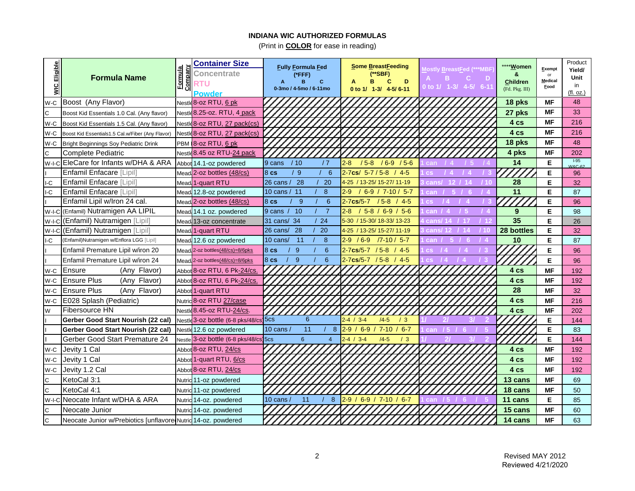| Eligible<br>$\frac{1}{2}$ | <b>Formula Name</b>                                           | Company<br>Formula | <b>Container Size</b><br><b>Concentrate</b><br>RTU<br>Powder | <b>Fully Formula Fed</b><br>(*FFF)<br>B<br>C.<br>0-3mo / 4-5mo / 6-11mo | Some BreastFeeding<br>(**SBF)<br>D<br>в<br>C<br>0 to 1/ 1-3/ 4-5/6-11 | <b>Mostly BreastFed (***MBF</b><br>в<br>C.<br>Ð<br>0 to 1/ 1-3/ 4-5/ 6-11 | ****Women<br>&<br><b>Children</b><br>(Fd. Pkg. III) | Exempt<br>or<br>Medical<br>Food | Product<br>Yield/<br>Unit<br>in<br>(fl. oz.) |
|---------------------------|---------------------------------------------------------------|--------------------|--------------------------------------------------------------|-------------------------------------------------------------------------|-----------------------------------------------------------------------|---------------------------------------------------------------------------|-----------------------------------------------------|---------------------------------|----------------------------------------------|
| W-C                       | Boost (Any Flavor)                                            |                    | Nestle <sup>8</sup> -02 RTU, 6 pk                            |                                                                         |                                                                       |                                                                           | 18 pks                                              | <b>MF</b>                       | 48                                           |
| $\mathsf{C}$              | Boost Kid Essentials 1.0 Cal. (Any flavor)                    |                    | Nestle 8.25-oz. RTU, 4 pack                                  |                                                                         |                                                                       |                                                                           | 27 pks                                              | MF                              | 33                                           |
| W-C                       | Boost Kid Essentials 1.5 Cal. (Any flavor)                    |                    | Nestle 8-oz RTU, 27 pack(cs)                                 |                                                                         |                                                                       |                                                                           | 4 cs                                                | MF                              | 216                                          |
| W-C                       | Boost Kid Essentials1.5 Cal.w/Fiber (Any Flavor)              |                    | Nestle 8-oz RTU, 27 pack(cs)                                 |                                                                         |                                                                       |                                                                           | 4 cs                                                | <b>MF</b>                       | 216                                          |
| W-C                       | <b>Bright Beginnings Soy Pediatric Drink</b>                  |                    | PBM 8-oz RTU, 6 pk                                           |                                                                         |                                                                       |                                                                           | 18 pks                                              | <b>MF</b>                       | 48                                           |
| $\mathsf{C}$              | <b>Complete Pediatric</b>                                     |                    | Nestle 8.45 oz RTU-24 pack                                   |                                                                         |                                                                       |                                                                           | 4 pks                                               | <b>MF</b>                       | 202                                          |
| $W-I-C$                   | EleCare for Infants w/DHA & ARA                               |                    | Abbot 14.1-oz powdered                                       | /10<br>/7<br>9 cans                                                     | /58<br>$/6 - 9 / 5 - 6$<br>$2-8$                                      | can                                                                       | 14                                                  | Е                               | $1-95$<br><b>W&amp;C-62</b>                  |
|                           | Enfamil Enfacare [Lipil]                                      |                    | Mead 2-oz bottles (48/cs)                                    | /9<br>8 <sub>cs</sub><br>6                                              | $2 - 7$ cs/ $5 - 7 / 5 - 8$<br>$4-5$                                  | <b>CS</b>                                                                 |                                                     | Е                               | 96                                           |
| IC                        | Enfamil Enfacare [Lipil]                                      |                    | Mead 1-quart RTU                                             | 26 cans / 28<br>20                                                      | / 13-25/ 15-27/ 11-19<br>4-25                                         | cans<br>110                                                               | 28                                                  | Е                               | 32                                           |
| I-C                       | Enfamil Enfacare [Lipil]                                      |                    | Mead 12.8-oz powdered                                        | 10 cans / 11<br>8                                                       | $6-9$ / 7-10 / 5-7<br>29                                              | can                                                                       | 11                                                  | Е                               | 87                                           |
|                           | Enfamil Lipil w/Iron 24 cal.                                  |                    | Mead 2-oz bottles (48/cs)                                    | 9<br>8 <sub>cs</sub><br>6                                               | $2 - 7$ cs/5-7<br>$/5 - 8$<br>$4-5$                                   | $\overline{\text{cs}}$                                                    |                                                     | Е                               | 96                                           |
| W-I-C                     | (Enfamil) Nutramigen AA LIPIL                                 |                    | Mead 14.1 oz. powdered                                       | 9 cans / 10<br>-7                                                       | $2-8$<br>$5-8/6-9/5-6$                                                | can                                                                       | 9                                                   | Е                               | 98                                           |
| W-I-C                     | (Enfamil) Nutramigen [Lipil]                                  |                    | Mead 13-oz concentrate                                       | 31 cans/ 34<br>24                                                       | 5-30 / 15-30/ 18-33/ 13-23                                            |                                                                           | 35                                                  | Е                               | 26                                           |
| W-I-C                     | (Enfamil) Nutramigen [Lipil]                                  |                    | Mead 1-quart RTU                                             | 26 cans/ 28<br>20                                                       | 4-25 / 13-25/ 15-27/ 11-19                                            | -10                                                                       | 28 bottles                                          | E.                              | 32                                           |
| l-C                       | (Enfamil)Nutramigen w/Enflora LGG [Lipil]                     |                    | Mead 12.6 oz powdered                                        | $-11$<br>8<br>10 cans/                                                  | 2-9.<br>$/6 - 9$<br>$7 - 10 / 5 - 7$                                  |                                                                           | 10                                                  | E.                              | 87                                           |
|                           | Enfamil Premature Lipil w/iron 20                             |                    | Mead. 2-oz bottles(48/cs)=8/6pks                             | 6<br>-9<br>8 <sub>cs</sub>                                              | $2.7$ cs/5-7 / 5-8<br>/4.5                                            |                                                                           |                                                     | E                               | 96                                           |
|                           | Enfamil Premature Lipil w/iron 24                             |                    | Mead, 2-oz bottles(48/cs)=8/6pks                             | 8 <sub>cs</sub><br>- 9<br>6                                             | 2-7cs/5-7 / 5-8 / 4-5                                                 |                                                                           |                                                     | Е                               | 96                                           |
| W-C                       | (Any Flavor)<br>Ensure                                        |                    | Abbot 8-oz RTU, 6 Pk-24/cs.                                  |                                                                         |                                                                       |                                                                           | 4 cs                                                | <b>MF</b>                       | 192                                          |
| W-C                       | <b>Ensure Plus</b><br>(Any Flavor)                            |                    | Abbot 8-oz RTU, 6 Pk-24/cs.                                  |                                                                         |                                                                       |                                                                           | 4 cs                                                | <b>MF</b>                       | 192                                          |
| W-C                       | <b>Ensure Plus</b><br>(Any Flavor)                            |                    | Abbot 1-quart RTU                                            |                                                                         |                                                                       |                                                                           | 28                                                  | <b>MF</b>                       | 32                                           |
| W-C                       | E028 Splash (Pediatric)                                       |                    | Nutric 8-oz RTU 27/case                                      |                                                                         |                                                                       |                                                                           | 4 cs                                                | MF                              | 216                                          |
| W                         | <b>Fibersource HN</b>                                         |                    | Nestle 8.45-oz RTU-24/cs.                                    |                                                                         |                                                                       |                                                                           | 4 cs                                                | <b>MF</b>                       | 202                                          |
|                           | Gerber Good Start Nourish (22 cal)                            |                    | Nestle 3-oz bottle (6-8 pks/48/cs 5cs                        | 6                                                                       | $2 - 4 / 3 - 4$<br>$/4 - 5$<br>/3                                     |                                                                           |                                                     | Е                               | 144                                          |
|                           | Gerber Good Start Nourish (22 cal)                            |                    | Nestle 12.6 oz powdered                                      | 11<br>10 cans /<br>8                                                    | $2-9$<br>$6 - 9$<br>$7 - 10$<br>$6 - 7$                               | can<br>15                                                                 |                                                     | Е                               | 83                                           |
|                           | Gerber Good Start Premature 24                                |                    | Nestle 3-0Z bottle (6-8 pks/48/cs) 5cs                       | 6<br>$\overline{4}$                                                     | $2 - 4 / 3 - 4$<br>$/4 - 5$<br>/3                                     |                                                                           |                                                     | Е                               | 144                                          |
| W-C                       | Jevity 1 Cal                                                  |                    | Abbot 8-oz RTU, 24/cs                                        |                                                                         |                                                                       |                                                                           | 4 cs                                                | <b>MF</b>                       | 192                                          |
| W-C                       | Jevity 1 Cal                                                  |                    | Abbot 1-quart RTU, 6/cs                                      |                                                                         |                                                                       |                                                                           | 4 cs                                                | <b>MF</b>                       | 192                                          |
| W-C                       | Jevity 1.2 Cal                                                |                    | Abbot 8-oz RTU, 24/cs                                        |                                                                         |                                                                       |                                                                           | 4 cs                                                | <b>MF</b>                       | 192                                          |
| C                         | KetoCal 3:1                                                   |                    | Nutric 11-oz powdered                                        |                                                                         |                                                                       |                                                                           | 13 cans                                             | MF                              | 69                                           |
| $\mathsf{C}$              | KetoCal 4:1                                                   |                    | Nutric 11-oz powdered                                        |                                                                         |                                                                       |                                                                           | 18 cans                                             | <b>MF</b>                       | 50                                           |
|                           | W-I-CINeocate Infant w/DHA & ARA                              |                    | Nutric 14-oz. powdered                                       | 10 cans $/$<br>11<br>8                                                  | 2.9/<br>$6-9$ / 7-10 / 6-7                                            | 15<br>can                                                                 | 11 cans                                             | Е                               | 85                                           |
| C                         | Neocate Junior                                                |                    | Nutric 14-oz. powdered                                       |                                                                         |                                                                       |                                                                           | 15 cans                                             | <b>MF</b>                       | 60                                           |
| Iс                        | Neocate Junior w/Prebiotics [unflavore Nutric 14-oz. powdered |                    |                                                              |                                                                         |                                                                       |                                                                           | 14 cans                                             | <b>MF</b>                       | 63                                           |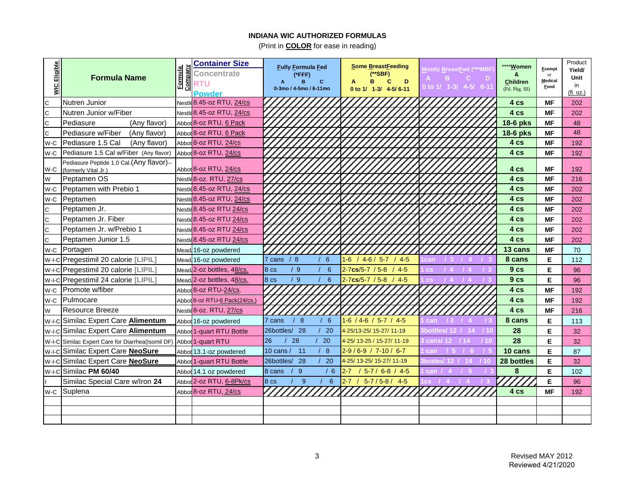| WIC Eligible | <b>Formula Name</b>                                               | Company<br><b>Formula</b> | <b>Container Size</b><br><b>Concentrate</b><br><b>RTU</b><br>Powder | <b>Fully Formula Fed</b><br>(*FFF)<br>B<br>C<br>0-3mo / 4-5mo / 6-11mo | Some BreastFeeding<br>(**SBF)<br>D<br>в<br>C<br>0 to 1/ 1-3/ 4-5/ 6-11 | <b>Nostly BreastFed (***MBF</b><br>$\mathbf{B}$<br>-C.<br>- D<br>0 to 1/ 1-3/ 4-5/ 6-11 | **** Women<br>&<br><b>Children</b><br>(Fd. Pkg. III) | Exempt<br>or<br><b>Medical</b><br>Food | Product<br>Yield/<br>Unit<br>in<br>(fl. oz.) |
|--------------|-------------------------------------------------------------------|---------------------------|---------------------------------------------------------------------|------------------------------------------------------------------------|------------------------------------------------------------------------|-----------------------------------------------------------------------------------------|------------------------------------------------------|----------------------------------------|----------------------------------------------|
| C            | Nutren Junior                                                     |                           | Nestle 8.45-oz RTU, 24/cs                                           |                                                                        |                                                                        |                                                                                         | 4 cs                                                 | MF                                     | 202                                          |
| C            | Nutren Junior w/Fiber                                             |                           | Nestle 8.45-oz RTU, 24/cs                                           |                                                                        |                                                                        |                                                                                         | 4 cs                                                 | ΜF                                     | 202                                          |
| C            | Pediasure<br>(Any flavor)                                         |                           | Abbot 8-oz RTU, 6 Pack                                              |                                                                        |                                                                        |                                                                                         | 18-6 pks                                             | ΜF                                     | 48                                           |
| C            | Pediasure w/Fiber<br>(Any flavor)                                 |                           | Abbot 8-oz RTU, 6 Pack                                              |                                                                        |                                                                        |                                                                                         | 18-6 pks                                             | <b>MF</b>                              | 48                                           |
| W-C          | Pediasure 1.5 Cal<br>(Any flavor)                                 |                           | Abbot 8-oz RTU, 24/cs                                               |                                                                        |                                                                        |                                                                                         | 4 cs                                                 | ΜF                                     | 192                                          |
| W-C          | Pediasure 1.5 Cal w/Fiber (Any flavor)                            |                           | Abbot 8-oz RTU, 24/cs                                               |                                                                        |                                                                        |                                                                                         | 4 cs                                                 | <b>MF</b>                              | 192                                          |
| W-C          | Pediasure Peptide 1.0 Cal. (Any flavor)--<br>(formerly Vital Jr.) |                           | Abbot 8-oz RTU, 24/cs                                               |                                                                        |                                                                        |                                                                                         | 4 cs                                                 | ΜF                                     | 192                                          |
| W            | Peptamen OS                                                       |                           | Nestle 8-oz. RTU, 27/cs                                             |                                                                        |                                                                        |                                                                                         | 4 cs                                                 | <b>MF</b>                              | 216                                          |
| W-C          | Peptamen with Prebio 1                                            |                           | Nestle 8.45-oz RTU, 24/cs                                           |                                                                        |                                                                        |                                                                                         | 4 cs                                                 | <b>MF</b>                              | 202                                          |
| W-C          | Peptamen                                                          |                           | Nestle 8.45-oz RTU, 24/cs                                           |                                                                        |                                                                        |                                                                                         | 4 cs                                                 | <b>MF</b>                              | 202                                          |
| C            | Peptamen Jr.                                                      |                           | Nestle 8.45-oz RTU 24/cs                                            |                                                                        |                                                                        |                                                                                         | 4 cs                                                 | <b>MF</b>                              | 202                                          |
| C            | Peptamen Jr. Fiber                                                |                           | Nestle 8.45-oz RTU 24/cs                                            |                                                                        |                                                                        |                                                                                         | 4 cs                                                 | ΜF                                     | 202                                          |
| C            | Peptamen Jr. w/Prebio 1                                           |                           | Nestle 8.45-oz RTU 24/cs                                            |                                                                        |                                                                        |                                                                                         | 4 cs                                                 | MF                                     | 202                                          |
| C            | Peptamen Junior 1.5                                               |                           | Nestle 8.45-oz RTU 24/cs                                            |                                                                        |                                                                        |                                                                                         | 4 cs                                                 | <b>MF</b>                              | 202                                          |
| W-C          | Portagen                                                          |                           | Mead 16-oz powdered                                                 |                                                                        |                                                                        |                                                                                         | 13 cans                                              | ΜF                                     | 70                                           |
| $W-I-C$      | Pregestimil 20 calorie [LIPIL]                                    |                           | Mead 16-oz powdered                                                 | $7 \text{ cans} / 8$<br>6                                              | $/4-6/5-7/4-5$<br>16                                                   | can<br>- 3                                                                              | 8 cans                                               | Е                                      | 112                                          |
| W-I-C        | Pregestimil 20 calorie [LIPIL]                                    |                           | Mead 2-oz bottles, 48/cs.                                           | /9<br>8 <sub>cs</sub><br>6                                             | $2 - 7$ cs/5-7 / 5-8<br>/45                                            | 14.<br><b>CS</b>                                                                        | 9 <sub>cs</sub>                                      | Е                                      | 96                                           |
| $W-I-C$      | Pregestimil 24 calorie [LIPIL]                                    |                           | Mead 2-oz bottles, 48/cs.                                           | /9<br>8 <sub>cs</sub><br>6                                             | $2 - 7$ cs/5-7 / 5-8 / 4-5                                             | <b>CS</b>                                                                               | 9 <sub>cs</sub>                                      | Е                                      | 96                                           |
| W-C          | Promote w/fiber                                                   |                           | Abbot 8-oz RTU-24/cs.                                               |                                                                        |                                                                        |                                                                                         | 4 cs                                                 | <b>MF</b>                              | 192                                          |
| W-C          | <b>IPulmocare</b>                                                 |                           | Abbot 8-oz RTU-6 Pack(24/cs.)                                       |                                                                        |                                                                        |                                                                                         | 4 cs                                                 | <b>MF</b>                              | 192                                          |
| W            | Resource Breeze                                                   |                           | Nestle <sup>8-oz.</sup> RTU, 27/cs                                  |                                                                        |                                                                        |                                                                                         | 4 cs                                                 | <b>MF</b>                              | 216                                          |
|              | W-I-C Similac Expert Care <b>Alimentum</b>                        |                           | Abbot 16-oz powdered                                                | 8<br>6<br>7 cans                                                       | $1-6$ / 4-6 / 5-7 / 4-5                                                | can<br>73                                                                               | 8 cans                                               | Е                                      | 113                                          |
|              | W-I-C Similac Expert Care Alimentum                               |                           | Abbot <sup>1</sup> -quart RTU Bottle                                | 26bottles/ 28<br><b>20</b>                                             | 4-25/13-25/ 15-27/ 11-19                                               | $\text{Bbottles}/12$ / 14                                                               | 28                                                   | E                                      | 32                                           |
|              | W-I-C Similac Expert Care for Diarrhea(Isomil DF)                 |                           | Abbot 1-quart RTU                                                   | 28<br>26<br>20                                                         | 4-25/13-25 / 15-27/11-19                                               | cans/12 $114$<br>/ 10                                                                   | 28                                                   | Е                                      | 32                                           |
| W-I-C        | Similac Expert Care NeoSure                                       |                           | Abbot 13.1-oz powdered                                              | 10 cans / 11<br>-8                                                     | 2-9/6-9 / 7-10 / 6-7                                                   | can                                                                                     | 10 cans                                              | Е                                      | 87                                           |
| $W-I-C$      | Similac Expert Care NeoSure                                       |                           | Abbot 1-quart RTU Bottle                                            | 26bottles/<br>28<br>20                                                 | 4-25/13-25/15-27/11-19                                                 | ر 12 /bottles<br>-14                                                                    | 28 bottles                                           | Е                                      | 32                                           |
|              | W-I-C Similac PM 60/40                                            |                           | Abbot 14.1 oz powdered                                              | 8 cans<br>9<br>/6                                                      | $5 - 7 / 6 - 8 / 4 - 5$<br>$2 - 7$                                     | can                                                                                     | 8                                                    | Е                                      | 102                                          |
|              | Similac Special Care w/Iron 24                                    |                           | Abbot 2-oz RTU, 6-8Pk/cs                                            | $8 \text{ cs}$<br>9<br>6                                               | $5 - 7 / 5 - 8 / 4 - 5$<br>$2 - 7$                                     |                                                                                         |                                                      | Е                                      | 96                                           |
|              | w-c Suplena                                                       |                           | Abbot 8-02 RTU, 24/cs                                               |                                                                        |                                                                        |                                                                                         | 4 cs                                                 | <b>MF</b>                              | 192                                          |
|              |                                                                   |                           |                                                                     |                                                                        |                                                                        |                                                                                         |                                                      |                                        |                                              |
|              |                                                                   |                           |                                                                     |                                                                        |                                                                        |                                                                                         |                                                      |                                        |                                              |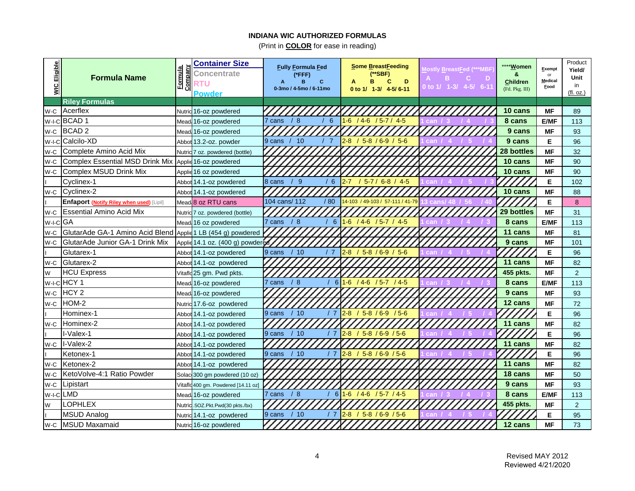| Eligible<br>$\frac{1}{2}$ | <b>Formula Name</b>                                          | Company<br><b>Formula</b> | <b>Container Size</b><br>Concentrate<br>RTU<br><b>Powder</b> | <b>Fully Formula Fed</b><br>(*FFF)<br>B<br>0-3mo / 4-5mo / 6-11mo | Some BreastFeeding<br>(**SBF)<br>C<br>в<br>D<br>0 to 1/ 1-3/ 4-5/6-11 | <b>Mostly BreastFed (***MBF</b><br>в<br>C.<br>Ð<br>0 to 1/ 1-3/ 4-5/ 6-11 | **** <b>Women</b><br>&<br><b>Children</b><br>(Fd. Pkg. III) | Exempt<br>or<br><b>Medical</b><br>Food | Product<br>Yield/<br>Unit<br>in<br>(fl. oz.) |
|---------------------------|--------------------------------------------------------------|---------------------------|--------------------------------------------------------------|-------------------------------------------------------------------|-----------------------------------------------------------------------|---------------------------------------------------------------------------|-------------------------------------------------------------|----------------------------------------|----------------------------------------------|
|                           | <b>Riley Formulas</b>                                        |                           |                                                              |                                                                   |                                                                       |                                                                           |                                                             |                                        |                                              |
| W-C                       | Acerflex                                                     |                           | Nutric 16-oz powdered                                        |                                                                   |                                                                       |                                                                           | 10 cans                                                     | <b>MF</b>                              | 89                                           |
| W-I-C                     | BCAD <sub>1</sub>                                            |                           | Mead 16-oz powdered                                          | /8<br>6<br>7 cans                                                 | $1-6$<br>/46<br>$/5 - 7 / 4 - 5$                                      |                                                                           | 8 cans                                                      | <b>E/MF</b>                            | 113                                          |
| W-C                       | <b>BCAD2</b>                                                 |                           | Mead 16-oz powdered                                          |                                                                   |                                                                       |                                                                           | 9 cans                                                      | <b>MF</b>                              | 93                                           |
| W-I-C                     | Calcilo-XD                                                   |                           | Abbot 13.2-oz. powder                                        | 10<br>9 cans                                                      | $2-8$<br>$5-8/6-9/5-6$                                                |                                                                           | 9 cans                                                      | Е                                      | 96                                           |
| W-C                       | Complete Amino Acid Mix                                      |                           | Nutric 7 oz. powdered (bottle)                               |                                                                   |                                                                       |                                                                           | 28 bottles                                                  | <b>MF</b>                              | 32                                           |
| W-C                       | <b>Complex Essential MSD Drink Mix</b>                       |                           | Applic 16-oz powdered                                        |                                                                   |                                                                       |                                                                           | 10 cans                                                     | <b>MF</b>                              | 90                                           |
| W-C                       | Complex MSUD Drink Mix                                       |                           | Applic 16 oz powdered                                        |                                                                   |                                                                       |                                                                           | 10 cans                                                     | <b>MF</b>                              | 90                                           |
|                           | Cyclinex-1                                                   |                           | Abbot 14.1-oz powdered                                       | 8 cans<br>9<br>6                                                  | $5 - 7 / 6 - 8 / 4 - 5$<br>2-7                                        |                                                                           |                                                             | Е                                      | 102                                          |
| W-C                       | Cyclinex-2                                                   |                           | Abbot 14.1-oz powdered                                       |                                                                   |                                                                       |                                                                           | 10 cans                                                     | <b>MF</b>                              | 88                                           |
|                           | <b>Enfaport (Notify Riley when used)</b> [Lipil]             |                           | Mead 8 oz RTU cans                                           | 104 cans/ 112<br>/80                                              | 4-103 / 49-103 / 57-111 / 41-79                                       |                                                                           |                                                             | Е                                      | 8                                            |
| W-C                       | <b>Essential Amino Acid Mix</b>                              |                           | Nutric 7 oz. powdered (bottle)                               |                                                                   |                                                                       |                                                                           | 29 bottles                                                  | <b>MF</b>                              | 31                                           |
| W-I-C                     | GA                                                           |                           | Mead 16 oz powdered                                          | /8<br>6<br>7 cans                                                 | $1-6$<br>/46<br>$/5 - 7 / 4 - 5$                                      |                                                                           | 8 cans                                                      | E/MF                                   | 113                                          |
| W-C                       | GlutarAde GA-1 Amino Acid Blend Applie 1 LB (454 g) powdered |                           |                                                              |                                                                   |                                                                       |                                                                           | 11 cans                                                     | <b>MF</b>                              | 81                                           |
| W-C                       | GlutarAde Junior GA-1 Drink Mix                              |                           | Applie 14.1 oz. (400 g) powdered                             |                                                                   |                                                                       |                                                                           | 9 cans                                                      | MF                                     | 101                                          |
|                           | Glutarex-1                                                   |                           | Abbot 14.1-oz powdered                                       | /10<br>9 cans                                                     | $5-8/6-9/5-6$<br>$2-8$                                                |                                                                           |                                                             | Е                                      | 96                                           |
| W-C                       | Glutarex-2                                                   | Abbot                     | 14.1-oz powdered                                             |                                                                   |                                                                       |                                                                           | 11 cans                                                     | <b>MF</b>                              | 82                                           |
| W                         | <b>HCU Express</b>                                           | Vitafle                   | 25 gm. Pwd pkts.                                             |                                                                   |                                                                       |                                                                           | 455 pkts.                                                   | <b>MF</b>                              | $\overline{2}$                               |
| $W-I-C$                   | HCY <sub>1</sub>                                             | Mead                      | 16-oz powdered                                               | 6<br><b>/</b> 8<br>cans                                           | $1-6$ /4-6<br>$/5 - 7 / 4 - 5$                                        |                                                                           | 8 cans                                                      | <b>E/MF</b>                            | 113                                          |
| W-C                       | HCY <sub>2</sub>                                             | Mead                      | 16-oz powdered                                               |                                                                   |                                                                       |                                                                           | 9 cans                                                      | <b>MF</b>                              | 93                                           |
| W-C                       | HOM-2                                                        |                           | Nutric 17.6-oz powdered                                      |                                                                   |                                                                       |                                                                           | 12 cans                                                     | MF                                     | 72                                           |
|                           | Hominex-1                                                    |                           | Abbot 14.1-oz powdered                                       | 9 cans<br>/10<br>/ 7                                              | $2-8$ / 5-8 / 6-9 / 5-6                                               |                                                                           |                                                             | Е                                      | 96                                           |
| W-C                       | Hominex-2                                                    |                           | Abbot 14.1-oz powdered                                       |                                                                   |                                                                       |                                                                           | 11 cans                                                     | <b>MF</b>                              | 82                                           |
|                           | l-Valex-1                                                    |                           | Abbot 14.1-oz powdered                                       | /10<br>9 cans<br>17                                               | $2-8$ / 5-8 / 6-9 / 5-6                                               | can                                                                       |                                                             | E                                      | 96                                           |
| W-C                       | I-Valex-2                                                    |                           | Abbot 14.1-oz powdered                                       |                                                                   |                                                                       |                                                                           | 11 cans                                                     | <b>MF</b>                              | 82                                           |
|                           | Ketonex-1                                                    |                           | Abbot 14.1-oz powdered                                       | /10<br>/7<br>9 cans                                               | $5-8/6-9/5-6$<br>$2-8$                                                | can                                                                       |                                                             | E                                      | 96                                           |
| W-C                       | Ketonex-2                                                    |                           | Abbot 14.1-oz powdered                                       |                                                                   |                                                                       |                                                                           | 11 cans                                                     | <b>MF</b>                              | 82                                           |
| W-C                       | KetoVolve-4:1 Ratio Powder                                   |                           | Solac 300 gm powdered (10 oz)                                |                                                                   |                                                                       |                                                                           | 18 cans                                                     | <b>MF</b>                              | 50                                           |
| W-C                       | Lipistart                                                    |                           | Vitaflo 400 gm. Powdered [14.11 oz]                          |                                                                   |                                                                       |                                                                           | 9 cans                                                      | <b>MF</b>                              | 93                                           |
| $W-I-C$                   | <b>LMD</b>                                                   |                           | Mead 16-oz powdered                                          | /8<br>6<br>7 cans                                                 | $1-6$<br>/46<br>/57/45                                                | can                                                                       | 8 cans                                                      | <b>E/MF</b>                            | 113                                          |
| W                         | <b>LOPHLEX</b>                                               | Nutric                    | .5OZ.Pkt.Pwd(30 pkts./bx)                                    |                                                                   |                                                                       |                                                                           | 455 pkts.                                                   | <b>MF</b>                              | $\overline{2}$                               |
|                           | <b>MSUD Analog</b>                                           |                           | Nutric 14.1-oz powdered                                      | 9 cans<br>/10                                                     | $2-8$<br>$5-8/6-9/5-6$                                                |                                                                           |                                                             | E                                      | 95                                           |
| W-C                       | <b>MSUD Maxamaid</b>                                         |                           | Nutric 16-oz powdered                                        |                                                                   |                                                                       |                                                                           | 12 cans                                                     | <b>MF</b>                              | 73                                           |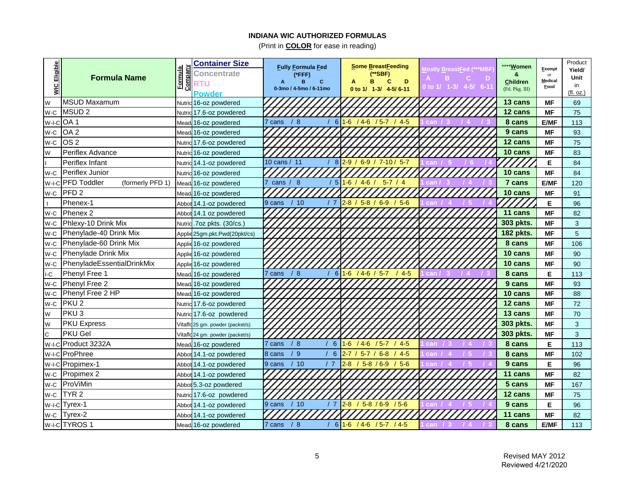| <b>Eligible</b><br>$\frac{1}{2}$ | <b>Formula Name</b>             | Company<br><b>Formula</b> | <b>Container Size</b><br><b>Concentrate</b><br><b>RTU</b><br><b>Powder</b> | <b>Fully Formula Fed</b><br>(*FFF)<br>в<br>C.<br>0-3mo / 4-5mo / 6-11mo | Some BreastFeeding<br>(**SBF)<br>D<br>в<br>C<br>0 to 1/ 1-3/ 4-5/6-11 | lostly BreastFed (***MBF<br>в<br>Ð<br>С<br>0 to 1/ 1-3/ 4-5/ 6-11 | **** <b>Women</b><br>&<br><b>Children</b><br>(Fd. Pkg. III) | Exempt<br>or<br><b>Medical</b><br>Food | Product<br>Yield/<br>Unit<br>in<br>(fl. oz.) |
|----------------------------------|---------------------------------|---------------------------|----------------------------------------------------------------------------|-------------------------------------------------------------------------|-----------------------------------------------------------------------|-------------------------------------------------------------------|-------------------------------------------------------------|----------------------------------------|----------------------------------------------|
| W                                | <b>MSUD Maxamum</b>             |                           | Nutric 16-oz powdered                                                      |                                                                         |                                                                       |                                                                   | 13 cans                                                     | <b>MF</b>                              | 69                                           |
| W-C                              | <b>MSUD2</b>                    |                           | Nutric 17.6-oz powdered                                                    |                                                                         |                                                                       |                                                                   | 12 cans                                                     | <b>MF</b>                              | 75                                           |
| $W-I-C$                          | OA <sub>1</sub>                 |                           | Mead 16-oz powdered                                                        | /8<br>6<br>7 cans                                                       | $1-6$<br>/46<br>$/5 - 7$<br>45                                        | can                                                               | 8 cans                                                      | <b>E/MF</b>                            | 113                                          |
| W-C                              | OA <sub>2</sub>                 |                           | Mead 16-oz powdered                                                        |                                                                         |                                                                       |                                                                   | 9 cans                                                      | <b>MF</b>                              | 93                                           |
| W-C                              | OS <sub>2</sub>                 |                           | Nutric 17.6-oz powdered                                                    |                                                                         |                                                                       |                                                                   | 12 cans                                                     | <b>MF</b>                              | 75                                           |
| W                                | Periflex Advance                | Nutric                    | 16-oz powdered                                                             |                                                                         |                                                                       |                                                                   | 10 cans                                                     | <b>MF</b>                              | 83                                           |
|                                  | Periflex Infant                 |                           | Nutric 14.1-oz powdered                                                    | 10 cans / 11<br>8                                                       | $6 - 9$<br>$/7 - 10 / 5 - 7$<br>$2-9/$                                | can                                                               |                                                             | Е                                      | 84                                           |
| W-C                              | Periflex Junior                 | Nutric                    | 16-oz powdered                                                             |                                                                         |                                                                       |                                                                   | 10 cans                                                     | <b>MF</b>                              | 84                                           |
| W-I-C                            | PFD Toddler<br>(formerly PFD 1) | Mead                      | 16-oz powdered                                                             | cans $/ 8$<br>$5\overline{5}$                                           | $1-6/$<br>$4-6$<br>$5 - 7 / 4$                                        |                                                                   | 7 cans                                                      | <b>E/MF</b>                            | 120                                          |
| W-C                              | PFD <sub>2</sub>                | Mead                      | 16-oz powdered                                                             |                                                                         |                                                                       |                                                                   | 10 cans                                                     | <b>MF</b>                              | 91                                           |
|                                  | Phenex-1                        | Abbot                     | 14.1-oz powdered                                                           | /10<br>9 cans<br>/ 7                                                    | $2-8$ / 5-8 / 6-9 / 5-6                                               |                                                                   |                                                             | Е                                      | 96                                           |
| W-C                              | Phenex 2                        | Abbo                      | 14.1 oz powdered                                                           |                                                                         |                                                                       |                                                                   | 11 cans                                                     | <b>MF</b>                              | 82                                           |
| W-C                              | Phlexy-10 Drink Mix             | Nutric                    | .7oz pkts. (30/cs.)                                                        |                                                                         |                                                                       |                                                                   | 303 pkts.                                                   | <b>MF</b>                              | 3                                            |
| W-C                              | Phenylade-40 Drink Mix          | Applie                    | 25gm.pkt.Pwd(20pkt/cs)                                                     |                                                                         |                                                                       |                                                                   | 182 pkts.                                                   | МF                                     | 5                                            |
| W-C                              | Phenylade-60 Drink Mix          |                           | Applic 16-oz powdered                                                      |                                                                         |                                                                       |                                                                   | 8 cans                                                      | <b>MF</b>                              | 106                                          |
| W-C                              | Phenylade Drink Mix             |                           | Applic 16-oz powdered                                                      |                                                                         |                                                                       |                                                                   | 10 cans                                                     | <b>MF</b>                              | 90                                           |
| W-C                              | PhenyladeEssentialDrinkMix      |                           | Applic 16-oz powdered                                                      |                                                                         |                                                                       |                                                                   | 10 cans                                                     | <b>MF</b>                              | 90                                           |
| $\mathsf{I}\text{-}\mathsf{C}$   | Phenyl Free 1                   |                           | Mead 16-oz powdered                                                        | /8<br>6<br>7 cans                                                       | $1-6$ / 4 6 / 5 7<br>/45                                              | can                                                               | 8 cans                                                      | Е                                      | 113                                          |
| W-C                              | Phenyl Free 2                   |                           | Mead 16-oz powdered                                                        |                                                                         |                                                                       |                                                                   | 9 cans                                                      | <b>MF</b>                              | 93                                           |
| W-C                              | Phenyl Free 2 HP                |                           | Mead 16-oz powdered                                                        |                                                                         |                                                                       |                                                                   | 10 cans                                                     | <b>MF</b>                              | 88                                           |
| W-C                              | PKU <sub>2</sub>                |                           | Nutric 17.6-oz powdered                                                    |                                                                         |                                                                       |                                                                   | 12 cans                                                     | <b>MF</b>                              | 72                                           |
| W                                | PKU <sub>3</sub>                |                           | Nutric 17.6-oz powdered                                                    |                                                                         |                                                                       |                                                                   | 13 cans                                                     | <b>MF</b>                              | 70                                           |
| W                                | <b>PKU Express</b>              |                           | Vitaflo 25 gm. powder (packet/s)                                           |                                                                         |                                                                       |                                                                   | 303 pkts.                                                   | <b>MF</b>                              | 3                                            |
| $\mathsf{C}$                     | <b>PKU Gel</b>                  |                           | Vitaflo 24 gm. powder (packet/s)                                           |                                                                         |                                                                       |                                                                   | 303 pkts.                                                   | МF                                     | 3                                            |
| W-I-C                            | Product 3232A                   |                           | Mead 16-oz powdered                                                        | /8<br>6<br>7 cans                                                       | $1-6$<br>$/4-6$<br>/5.7<br>/45                                        | can<br>$\overline{4}$                                             | 8 cans                                                      | Е                                      | 113                                          |
|                                  | W-I-C ProPhree                  |                           | Abbot 14.1-oz powdered                                                     | -9<br>6<br>8 cans                                                       | 57/<br>$6 - 8$<br>45<br>$2 - 7$                                       | can<br>-5                                                         | 8 cans                                                      | МF                                     | 102                                          |
| W-I-C                            | Propimex-1                      |                           | Abbot 14.1-oz powdered                                                     | $^{\prime}$ 7<br>/10<br>9 cans                                          | $5-8/6-9$<br>56<br>$2-8$                                              | can.<br>15                                                        | 9 cans                                                      | Е                                      | 96                                           |
| W-C                              | Propimex 2                      |                           | Abbot 14.1-oz powdered                                                     |                                                                         |                                                                       |                                                                   | 11 cans                                                     | <b>MF</b>                              | 82                                           |
| W-C                              | ProViMin                        |                           | Abbot 5.3-oz powdered                                                      |                                                                         |                                                                       |                                                                   | 5 cans                                                      | <b>MF</b>                              | 167                                          |
| W-C                              | TYR <sub>2</sub>                |                           | Nutric 17.6-oz powdered                                                    |                                                                         |                                                                       |                                                                   | 12 cans                                                     | <b>MF</b>                              | 75                                           |
| $W-I-C$                          | Tyrex-1                         |                           | Abbot 14.1-oz powdered                                                     | 9 cans<br>/10                                                           | $2-8$<br>$/5 - 8 / 6 - 9 / 5 - 6$                                     | can                                                               | 9 cans                                                      | Е                                      | 96                                           |
| W-C                              | Tyrex-2                         |                           | Abbot 14.1-oz powdered                                                     |                                                                         |                                                                       |                                                                   | 11 cans                                                     | <b>MF</b>                              | 82                                           |
|                                  | W-I-C TYROS 1                   |                           | Mead 16-oz powdered                                                        | /8<br>6<br>7 cans                                                       | $1-6$<br>$/4 - 6$ $/5 - 7$ $/4 - 5$                                   | can<br>13 <sup>°</sup><br>14                                      | 8 cans                                                      | <b>E/MF</b>                            | 113                                          |